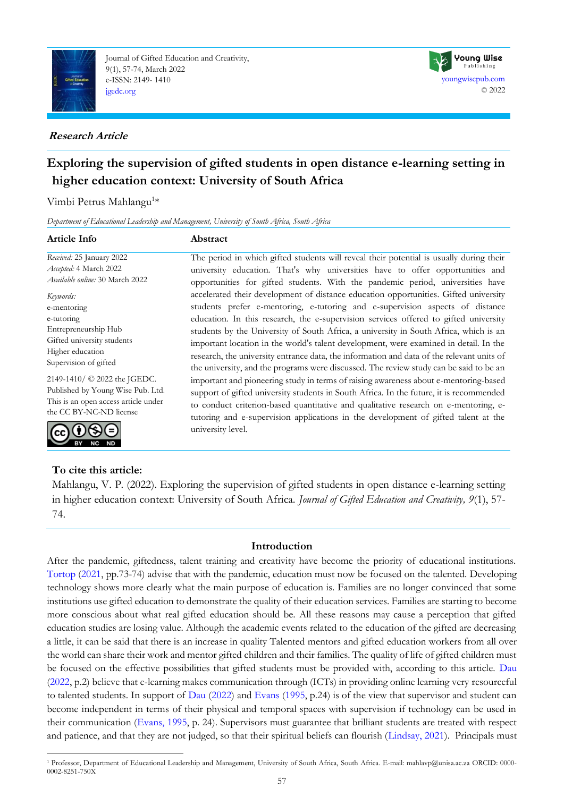

Journal of Gifted Education and Creativity, 9(1), 57-74, March 2022 e-ISSN: 2149- 1410 [jgedc.org](https://dergipark.org.tr/en/pub/jgedc)

## **Research Article**



# **Exploring the supervision of gifted students in open distance e-learning setting in higher education context: University of South Africa**

Vimbi Petrus Mahlangu<sup>1\*</sup>

*Department of Educational Leadership and Management, University of South Africa, South Africa*

## **Article Info Abstract**

*Received:* 25 January 2022 *Accepted:* 4 March 2022 *Available online:* 30 March 2022

*Keywords:* e-mentoring e-tutoring Entrepreneurship Hub Gifted university students Higher education Supervision of gifted

2149-1410/ © 2022 the JGEDC. Published by Young Wise Pub. Ltd. This is an open access article under the CC BY-NC-ND license



## **To cite this article:**

The period in which gifted students will reveal their potential is usually during their university education. That's why universities have to offer opportunities and opportunities for gifted students. With the pandemic period, universities have accelerated their development of distance education opportunities. Gifted university students prefer e-mentoring, e-tutoring and e-supervision aspects of distance education. In this research, the e-supervision services offered to gifted university students by the University of South Africa, a university in South Africa, which is an important location in the world's talent development, were examined in detail. In the research, the university entrance data, the information and data of the relevant units of the university, and the programs were discussed. The review study can be said to be an important and pioneering study in terms of raising awareness about e-mentoring-based support of gifted university students in South Africa. In the future, it is recommended to conduct criterion-based quantitative and qualitative research on e-mentoring, etutoring and e-supervision applications in the development of gifted talent at the university level.

Mahlangu, V. P. (2022). Exploring the supervision of gifted students in open distance e-learning setting in higher education context: University of South Africa. *Journal of Gifted Education and Creativity, 9*(1), 57- 74.

## **Introduction**

After the pandemic, giftedness, talent training and creativity have become the priority of educational institutions. [Tortop](#page-15-0) [\(2021,](#page-15-0) pp.73-74) advise that with the pandemic, education must now be focused on the talented. Developing technology shows more clearly what the main purpose of education is. Families are no longer convinced that some institutions use gifted education to demonstrate the quality of their education services. Families are starting to become more conscious about what real gifted education should be. All these reasons may cause a perception that gifted education studies are losing value. Although the academic events related to the education of the gifted are decreasing a little, it can be said that there is an increase in quality Talented mentors and gifted education workers from all over the world can share their work and mentor gifted children and their families. The quality of life of gifted children must be focused on the effective possibilities that gifted students must be provided with, according to this article. [Dau](#page-15-0) [\(2022,](#page-15-0) p.2) believe that e-learning makes communication through (ICTs) in providing online learning very resourceful to talented students. In support of [Dau](#page-15-0) [\(2022\)](#page-15-0) and [Evans](#page-15-0) [\(1995,](#page-15-0) p.24) is of the view that supervisor and student can become independent in terms of their physical and temporal spaces with supervision if technology can be used in their communication [\(Evans, 1995,](#page-15-0) p. 24). Supervisors must guarantee that brilliant students are treated with respect and patience, and that they are not judged, so that their spiritual beliefs can flourish [\(Lindsay, 2021\)](#page-15-0). Principals must

<sup>1</sup> Professor, Department of Educational Leadership and Management, University of South Africa, South Africa. E-mail: mahlavp@unisa.ac.za ORCID: 0000- 0002-8251-750X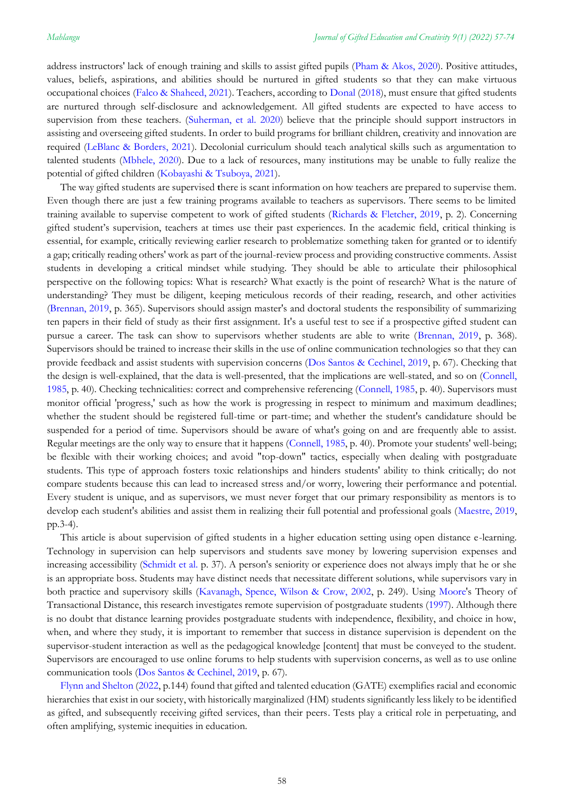address instructors' lack of enough training and skills to assist gifted pupils [\(Pham & Akos, 2020\)](#page-15-0). Positive attitudes, values, beliefs, aspirations, and abilities should be nurtured in gifted students so that they can make virtuous occupational choices [\(Falco & Shaheed, 2021\)](#page-15-0). Teachers, according to [Donal](#page-15-0) [\(2018\)](#page-15-0), must ensure that gifted students are nurtured through self-disclosure and acknowledgement. All gifted students are expected to have access to supervision from these teachers. [\(Suherman, et al. 2020\)](#page-15-0) believe that the principle should support instructors in assisting and overseeing gifted students. In order to build programs for brilliant children, creativity and innovation are required [\(LeBlanc & Borders, 2021\)](#page-15-0). Decolonial curriculum should teach analytical skills such as argumentation to talented students [\(Mbhele, 2020\)](#page-15-0). Due to a lack of resources, many institutions may be unable to fully realize the potential of gifted children (Kobayashi & [Tsuboya, 2021\)](#page-15-0).

The way gifted students are supervised **t**here is scant information on how teachers are prepared to supervise them. Even though there are just a few training programs available to teachers as supervisors. There seems to be limited training available to supervise competent to work of gifted students [\(Richards & Fletcher, 2019,](#page-15-0) p. 2). Concerning gifted student's supervision, teachers at times use their past experiences. In the academic field, critical thinking is essential, for example, critically reviewing earlier research to problematize something taken for granted or to identify a gap; critically reading others' work as part of the journal-review process and providing constructive comments. Assist students in developing a critical mindset while studying. They should be able to articulate their philosophical perspective on the following topics: What is research? What exactly is the point of research? What is the nature of understanding? They must be diligent, keeping meticulous records of their reading, research, and other activities [\(Brennan, 2019,](#page-15-0) p. 365). Supervisors should assign master's and doctoral students the responsibility of summarizing ten papers in their field of study as their first assignment. It's a useful test to see if a prospective gifted student can pursue a career. The task can show to supervisors whether students are able to write [\(Brennan, 2019,](#page-15-0) p. 368). Supervisors should be trained to increase their skills in the use of online communication technologies so that they can provide feedback and assist students with supervision concerns [\(Dos Santos & Cechinel, 2019,](#page-15-0) p. 67). Checking that the design is well-explained, that the data is well-presented, that the implications are well-stated, and so on [\(Connell,](#page-15-0)  [1985,](#page-15-0) p. 40). Checking technicalities: correct and comprehensive referencing [\(Connell, 1985,](#page-15-0) p. 40). Supervisors must monitor official 'progress,' such as how the work is progressing in respect to minimum and maximum deadlines; whether the student should be registered full-time or part-time; and whether the student's candidature should be suspended for a period of time. Supervisors should be aware of what's going on and are frequently able to assist. Regular meetings are the only way to ensure that it happens [\(Connell, 1985,](#page-15-0) p. 40). Promote your students' well-being; be flexible with their working choices; and avoid "top-down" tactics, especially when dealing with postgraduate students. This type of approach fosters toxic relationships and hinders students' ability to think critically; do not compare students because this can lead to increased stress and/or worry, lowering their performance and potential. Every student is unique, and as supervisors, we must never forget that our primary responsibility as mentors is to develop each student's abilities and assist them in realizing their full potential and professional goals [\(Maestre, 2019,](#page-15-0) pp.3-4).

This article is about supervision of gifted students in a higher education setting using open distance e-learning. Technology in supervision can help supervisors and students save money by lowering supervision expenses and increasing accessibility [\(Schmidt](#page-15-0) et al. p. 37). A person's seniority or experience does not always imply that he or she is an appropriate boss. Students may have distinct needs that necessitate different solutions, while supervisors vary in both practice and supervisory skills [\(Kavanagh, Spence, Wilson & Crow, 2002,](#page-15-0) p. 249). Using [Moore's](#page-15-0) Theory of Transactional Distance, this research investigates remote supervision of postgraduate students [\(1997\)](#page-15-0). Although there is no doubt that distance learning provides postgraduate students with independence, flexibility, and choice in how, when, and where they study, it is important to remember that success in distance supervision is dependent on the supervisor-student interaction as well as the pedagogical knowledge [content] that must be conveyed to the student. Supervisors are encouraged to use online forums to help students with supervision concerns, as well as to use online communication tools [\(Dos Santos & Cechinel, 2019,](#page-15-0) p. 67).

Flynn [and Shelton](#page-15-0) [\(2022,](#page-15-0) p.144) found that gifted and talented education (GATE) exemplifies racial and economic hierarchies that exist in our society, with historically marginalized (HM) students significantly less likely to be identified as gifted, and subsequently receiving gifted services, than their peers. Tests play a critical role in perpetuating, and often amplifying, systemic inequities in education.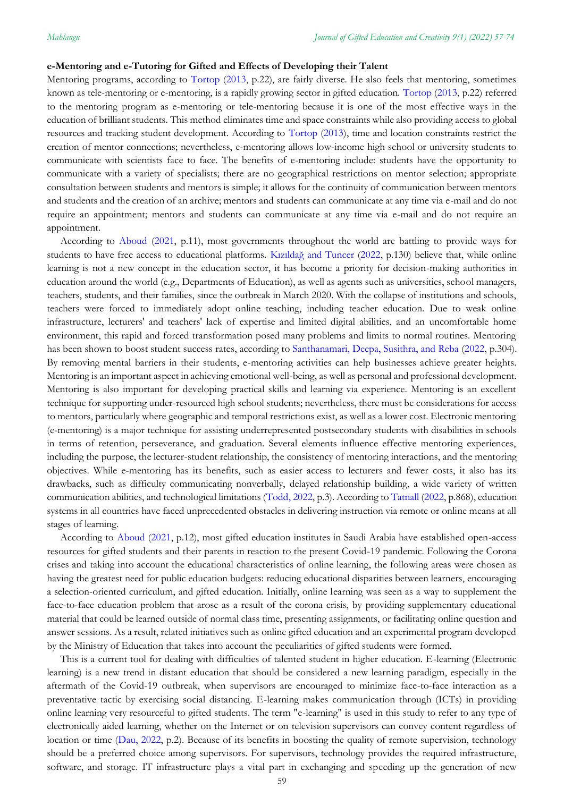#### **e-Mentoring and e-Tutoring for Gifted and Effects of Developing their Talent**

Mentoring programs, according to [Tortop](#page-15-0) [\(2013,](#page-15-0) p.22), are fairly diverse. He also feels that mentoring, sometimes known as tele-mentoring or e-mentoring, is a rapidly growing sector in gifted education. [Tortop](#page-15-0) [\(2013,](#page-15-0) p.22) referred to the mentoring program as e-mentoring or tele-mentoring because it is one of the most effective ways in the education of brilliant students. This method eliminates time and space constraints while also providing access to global resources and tracking student development. According to [Tortop](#page-15-0) [\(2013\)](#page-15-0), time and location constraints restrict the creation of mentor connections; nevertheless, e-mentoring allows low-income high school or university students to communicate with scientists face to face. The benefits of e-mentoring include: students have the opportunity to communicate with a variety of specialists; there are no geographical restrictions on mentor selection; appropriate consultation between students and mentors is simple; it allows for the continuity of communication between mentors and students and the creation of an archive; mentors and students can communicate at any time via e-mail and do not require an appointment; mentors and students can communicate at any time via e-mail and do not require an appointment.

According to [Aboud](#page-15-0) [\(2021,](#page-15-0) p.11), most governments throughout the world are battling to provide ways for students to have free access to educational platforms. Kızıldağ [and Tuncer](#page-15-0) [\(2022,](#page-15-0) p.130) believe that, while online learning is not a new concept in the education sector, it has become a priority for decision-making authorities in education around the world (e.g., Departments of Education), as well as agents such as universities, school managers, teachers, students, and their families, since the outbreak in March 2020. With the collapse of institutions and schools, teachers were forced to immediately adopt online teaching, including teacher education. Due to weak online infrastructure, lecturers' and teachers' lack of expertise and limited digital abilities, and an uncomfortable home environment, this rapid and forced transformation posed many problems and limits to normal routines. Mentoring has been shown to boost student success rates, according to [Santhanamari, Deepa, Susithra, and Reba](#page-15-0) [\(2022,](#page-15-0) p.304). By removing mental barriers in their students, e-mentoring activities can help businesses achieve greater heights. Mentoring is an important aspect in achieving emotional well-being, as well as personal and professional development. Mentoring is also important for developing practical skills and learning via experience. Mentoring is an excellent technique for supporting under-resourced high school students; nevertheless, there must be considerations for access to mentors, particularly where geographic and temporal restrictions exist, as well as a lower cost. Electronic mentoring (e-mentoring) is a major technique for assisting underrepresented postsecondary students with disabilities in schools in terms of retention, perseverance, and graduation. Several elements influence effective mentoring experiences, including the purpose, the lecturer-student relationship, the consistency of mentoring interactions, and the mentoring objectives. While e-mentoring has its benefits, such as easier access to lecturers and fewer costs, it also has its drawbacks, such as difficulty communicating nonverbally, delayed relationship building, a wide variety of written communication abilities, and technological limitations [\(Todd, 2022,](#page-15-0) p.3). According to [Tatnall](#page-15-0) [\(2022,](#page-15-0) p.868), education systems in all countries have faced unprecedented obstacles in delivering instruction via remote or online means at all stages of learning.

According to [Aboud](#page-15-0) [\(2021,](#page-15-0) p.12), most gifted education institutes in Saudi Arabia have established open-access resources for gifted students and their parents in reaction to the present Covid-19 pandemic. Following the Corona crises and taking into account the educational characteristics of online learning, the following areas were chosen as having the greatest need for public education budgets: reducing educational disparities between learners, encouraging a selection-oriented curriculum, and gifted education. Initially, online learning was seen as a way to supplement the face-to-face education problem that arose as a result of the corona crisis, by providing supplementary educational material that could be learned outside of normal class time, presenting assignments, or facilitating online question and answer sessions. As a result, related initiatives such as online gifted education and an experimental program developed by the Ministry of Education that takes into account the peculiarities of gifted students were formed.

This is a current tool for dealing with difficulties of talented student in higher education. E-learning (Electronic learning) is a new trend in distant education that should be considered a new learning paradigm, especially in the aftermath of the Covid-19 outbreak, when supervisors are encouraged to minimize face-to-face interaction as a preventative tactic by exercising social distancing. E-learning makes communication through (ICTs) in providing online learning very resourceful to gifted students. The term "e-learning" is used in this study to refer to any type of electronically aided learning, whether on the Internet or on television supervisors can convey content regardless of location or time [\(Dau, 2022,](#page-15-0) p.2). Because of its benefits in boosting the quality of remote supervision, technology should be a preferred choice among supervisors. For supervisors, technology provides the required infrastructure, software, and storage. IT infrastructure plays a vital part in exchanging and speeding up the generation of new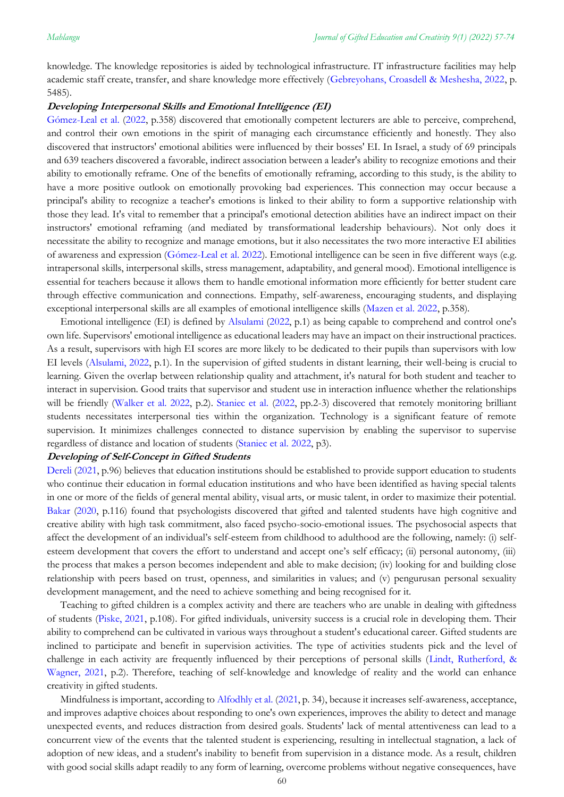knowledge. The knowledge repositories is aided by technological infrastructure. IT infrastructure facilities may help academic staff create, transfer, and share knowledge more effectively [\(Gebreyohans, Croasdell & Meshesha, 2022,](#page-15-0) p. 5485).

#### **Developing Interpersonal Skills and Emotional Intelligence (EI)**

[Gómez-Leal](#page-15-0) et al. [\(2022,](#page-15-0) p.358) discovered that emotionally competent lecturers are able to perceive, comprehend, and control their own emotions in the spirit of managing each circumstance efficiently and honestly. They also discovered that instructors' emotional abilities were influenced by their bosses' EI. In Israel, a study of 69 principals and 639 teachers discovered a favorable, indirect association between a leader's ability to recognize emotions and their ability to emotionally reframe. One of the benefits of emotionally reframing, according to this study, is the ability to have a more positive outlook on emotionally provoking bad experiences. This connection may occur because a principal's ability to recognize a teacher's emotions is linked to their ability to form a supportive relationship with those they lead. It's vital to remember that a principal's emotional detection abilities have an indirect impact on their instructors' emotional reframing (and mediated by transformational leadership behaviours). Not only does it necessitate the ability to recognize and manage emotions, but it also necessitates the two more interactive EI abilities of awareness and expression [\(Gómez-Leal et al. 2022\)](#page-15-0). Emotional intelligence can be seen in five different ways (e.g. intrapersonal skills, interpersonal skills, stress management, adaptability, and general mood). Emotional intelligence is essential for teachers because it allows them to handle emotional information more efficiently for better student care through effective communication and connections. Empathy, self-awareness, encouraging students, and displaying exceptional interpersonal skills are all examples of emotional intelligence skills [\(Mazen et al. 2022,](#page-15-0) p.358).

Emotional intelligence (EI) is defined by [Alsulami](#page-15-0) [\(2022,](#page-15-0) p.1) as being capable to comprehend and control one's own life. Supervisors' emotional intelligence as educational leaders may have an impact on their instructional practices. As a result, supervisors with high EI scores are more likely to be dedicated to their pupils than supervisors with low EI levels [\(Alsulami, 2022,](#page-15-0) p.1). In the supervision of gifted students in distant learning, their well-being is crucial to learning. Given the overlap between relationship quality and attachment, it's natural for both student and teacher to interact in supervision. Good traits that supervisor and student use in interaction influence whether the relationships will be friendly (Walker [et al. 2022,](#page-15-0) p.2). [Staniec et al.](#page-15-0) [\(2022,](#page-15-0) pp.2-3) discovered that remotely monitoring brilliant students necessitates interpersonal ties within the organization. Technology is a significant feature of remote supervision. It minimizes challenges connected to distance supervision by enabling the supervisor to supervise regardless of distance and location of students [\(Staniec et al. 2022,](#page-15-0) p3).

#### **Developing of Self-Concept in Gifted Students**

[Dereli](#page-15-0) [\(2021,](#page-15-0) p.96) believes that education institutions should be established to provide support education to students who continue their education in formal education institutions and who have been identified as having special talents in one or more of the fields of general mental ability, visual arts, or music talent, in order to maximize their potential. [Bakar](#page-15-0) [\(2020,](#page-15-0) p.116) found that psychologists discovered that gifted and talented students have high cognitive and creative ability with high task commitment, also faced psycho-socio-emotional issues. The psychosocial aspects that affect the development of an individual's self-esteem from childhood to adulthood are the following, namely: (i) selfesteem development that covers the effort to understand and accept one's self efficacy; (ii) personal autonomy, (iii) the process that makes a person becomes independent and able to make decision; (iv) looking for and building close relationship with peers based on trust, openness, and similarities in values; and (v) pengurusan personal sexuality development management, and the need to achieve something and being recognised for it.

Teaching to gifted children is a complex activity and there are teachers who are unable in dealing with giftedness of students [\(Piske, 2021,](#page-15-0) p.108). For gifted individuals, university success is a crucial role in developing them. Their ability to comprehend can be cultivated in various ways throughout a student's educational career. Gifted students are inclined to participate and benefit in supervision activities. The type of activities students pick and the level of challenge in each activity are frequently influenced by their perceptions of personal skills [\(Lindt, Rutherford, &](#page-15-0)  [Wagner, 2021,](#page-15-0) p.2). Therefore, teaching of self-knowledge and knowledge of reality and the world can enhance creativity in gifted students.

Mindfulness is important, according to [Alfodhly et al.](#page-15-0) [\(2021,](#page-15-0) p. 34), because it increases self-awareness, acceptance, and improves adaptive choices about responding to one's own experiences, improves the ability to detect and manage unexpected events, and reduces distraction from desired goals. Students' lack of mental attentiveness can lead to a concurrent view of the events that the talented student is experiencing, resulting in intellectual stagnation, a lack of adoption of new ideas, and a student's inability to benefit from supervision in a distance mode. As a result, children with good social skills adapt readily to any form of learning, overcome problems without negative consequences, have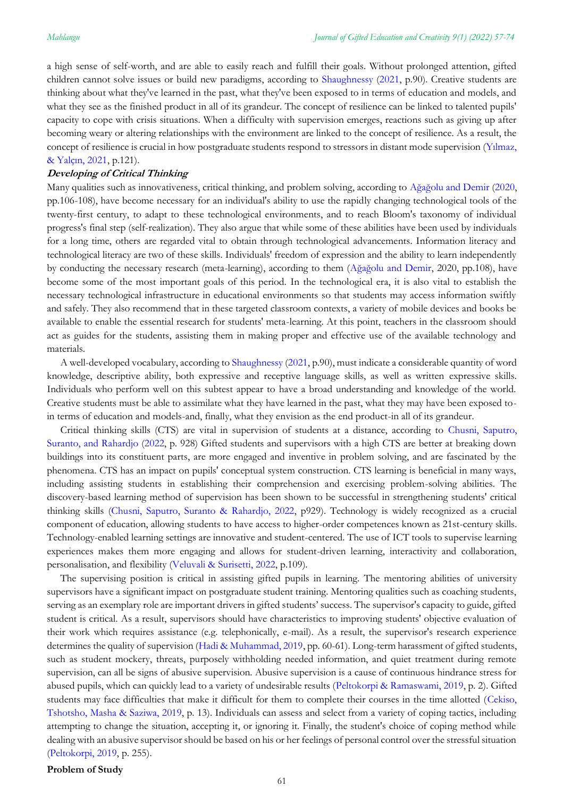a high sense of self-worth, and are able to easily reach and fulfill their goals. Without prolonged attention, gifted children cannot solve issues or build new paradigms, according to [Shaughnessy](#page-15-0) [\(2021,](#page-15-0) p.90). Creative students are thinking about what they've learned in the past, what they've been exposed to in terms of education and models, and what they see as the finished product in all of its grandeur. The concept of resilience can be linked to talented pupils' capacity to cope with crisis situations. When a difficulty with supervision emerges, reactions such as giving up after becoming weary or altering relationships with the environment are linked to the concept of resilience. As a result, the concept of resilience is crucial in how postgraduate students respond to stressors in distant mode supervision ([Yılmaz,](#page-15-0)  [& Yalçın, 2021](#page-15-0), p.121).

#### **Developing of Critical Thinking**

Many qualities such as innovativeness, critical thinking, and problem solving, according to Ağağ[olu and Demir](#page-15-0) [\(2020,](#page-15-0) pp.106-108), have become necessary for an individual's ability to use the rapidly changing technological tools of the twenty-first century, to adapt to these technological environments, and to reach Bloom's taxonomy of individual progress's final step (self-realization). They also argue that while some of these abilities have been used by individuals for a long time, others are regarded vital to obtain through technological advancements. Information literacy and technological literacy are two of these skills. Individuals' freedom of expression and the ability to learn independently by conducting the necessary research (meta-learning), according to them (Ağağ[olu and Demir,](#page-15-0) 2020, pp.108), have become some of the most important goals of this period. In the technological era, it is also vital to establish the necessary technological infrastructure in educational environments so that students may access information swiftly and safely. They also recommend that in these targeted classroom contexts, a variety of mobile devices and books be available to enable the essential research for students' meta-learning. At this point, teachers in the classroom should act as guides for the students, assisting them in making proper and effective use of the available technology and materials.

A well-developed vocabulary, according t[o Shaughnessy](#page-15-0) [\(2021,](#page-15-0) p.90), must indicate a considerable quantity of word knowledge, descriptive ability, both expressive and receptive language skills, as well as written expressive skills. Individuals who perform well on this subtest appear to have a broad understanding and knowledge of the world. Creative students must be able to assimilate what they have learned in the past, what they may have been exposed toin terms of education and models-and, finally, what they envision as the end product-in all of its grandeur.

Critical thinking skills (CTS) are vital in supervision of students at a distance, according to [Chusni, Saputro,](#page-15-0)  [Suranto, and Rahardjo](#page-15-0) [\(2022,](#page-15-0) p. 928) Gifted students and supervisors with a high CTS are better at breaking down buildings into its constituent parts, are more engaged and inventive in problem solving, and are fascinated by the phenomena. CTS has an impact on pupils' conceptual system construction. CTS learning is beneficial in many ways, including assisting students in establishing their comprehension and exercising problem-solving abilities. The discovery-based learning method of supervision has been shown to be successful in strengthening students' critical thinking skills [\(Chusni, Saputro,](#page-15-0) Suranto & Rahardjo, 2022, p929). Technology is widely recognized as a crucial component of education, allowing students to have access to higher-order competences known as 21st-century skills. Technology-enabled learning settings are innovative and student-centered. The use of ICT tools to supervise learning experiences makes them more engaging and allows for student-driven learning, interactivity and collaboration, personalisation, and flexibility [\(Veluvali & Surisetti, 2022,](#page-15-0) p.109).

The supervising position is critical in assisting gifted pupils in learning. The mentoring abilities of university supervisors have a significant impact on postgraduate student training. Mentoring qualities such as coaching students, serving as an exemplary role are important drivers in gifted students' success. The supervisor's capacity to guide, gifted student is critical. As a result, supervisors should have characteristics to improving students' objective evaluation of their work which requires assistance (e.g. telephonically, e-mail). As a result, the supervisor's research experience determines the quality of supervision [\(Hadi & Muhammad, 2019,](#page-15-0) pp. 60-61). Long-term harassment of gifted students, such as student mockery, threats, purposely withholding needed information, and quiet treatment during remote supervision, can all be signs of abusive supervision. Abusive supervision is a cause of continuous hindrance stress for abused pupils, which can quickly lead to a variety of undesirable results [\(Peltokorpi & Ramaswami, 2019,](#page-15-0) p. 2). Gifted students may face difficulties that make it difficult for them to complete their courses in the time allotted [\(Cekiso,](#page-15-0)  [Tshotsho, Masha & Saziwa, 2019,](#page-15-0) p. 13). Individuals can assess and select from a variety of coping tactics, including attempting to change the situation, accepting it, or ignoring it. Finally, the student's choice of coping method while dealing with an abusive supervisor should be based on his or her feelings of personal control over the stressful situation [\(Peltokorpi, 2019,](#page-15-0) p. 255).

**Problem of Study**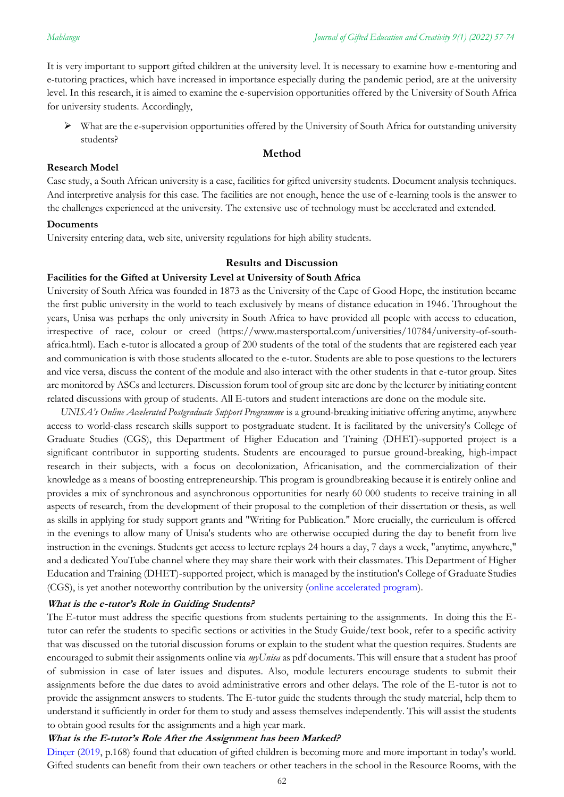It is very important to support gifted children at the university level. It is necessary to examine how e-mentoring and e-tutoring practices, which have increased in importance especially during the pandemic period, are at the university level. In this research, it is aimed to examine the e-supervision opportunities offered by the University of South Africa for university students. Accordingly,

 $\triangleright$  What are the e-supervision opportunities offered by the University of South Africa for outstanding university students?

### **Method**

### **Research Model**

Case study, a South African university is a case, facilities for gifted university students. Document analysis techniques. And interpretive analysis for this case. The facilities are not enough, hence the use of e-learning tools is the answer to the challenges experienced at the university. The extensive use of technology must be accelerated and extended.

#### **Documents**

University entering data, web site, university regulations for high ability students.

## **Results and Discussion**

## **Facilities for the Gifted at University Level at University of South Africa**

University of South Africa was founded in 1873 as the University of the Cape of Good Hope, the institution became the first public university in the world to teach exclusively by means of distance education in 1946. Throughout the years, Unisa was perhaps the only university in South Africa to have provided all people with access to education, irrespective of race, colour or creed [\(https://www.mastersportal.com/universities/10784/university-of-south](https://www.mastersportal.com/universities/10784/university-of-south-africa.html)[africa.html\)](https://www.mastersportal.com/universities/10784/university-of-south-africa.html). Each e-tutor is allocated a group of 200 students of the total of the students that are registered each year and communication is with those students allocated to the e-tutor. Students are able to pose questions to the lecturers and vice versa, discuss the content of the module and also interact with the other students in that e-tutor group. Sites are monitored by ASCs and lecturers. Discussion forum tool of group site are done by the lecturer by initiating content related discussions with group of students. All E-tutors and student interactions are done on the module site.

*UNISA's Online Accelerated Postgraduate Support Programme* is a ground-breaking initiative offering anytime, anywhere access to world-class research skills support to postgraduate student. It is facilitated by the university's College of Graduate Studies (CGS), this Department of Higher Education and Training (DHET)-supported project is a significant contributor in supporting students. Students are encouraged to pursue ground-breaking, high-impact research in their subjects, with a focus on decolonization, Africanisation, and the commercialization of their knowledge as a means of boosting entrepreneurship. This program is groundbreaking because it is entirely online and provides a mix of synchronous and asynchronous opportunities for nearly 60 000 students to receive training in all aspects of research, from the development of their proposal to the completion of their dissertation or thesis, as well as skills in applying for study support grants and "Writing for Publication." More crucially, the curriculum is offered in the evenings to allow many of Unisa's students who are otherwise occupied during the day to benefit from live instruction in the evenings. Students get access to lecture replays 24 hours a day, 7 days a week, "anytime, anywhere," and a dedicated YouTube channel where they may share their work with their classmates. This Department of Higher Education and Training (DHET)-supported project, which is managed by the institution's College of Graduate Studies (CGS), is yet another noteworthy contribution by the university [\(online accelerated program\)](After%20the%20pandemic,%20giftedness,%20talent%20training%20and%20creativity%20have%20become%20the%20priority%20of%20educational%20institutions.).

#### **What is the e-tutor's Role in Guiding Students?**

The E-tutor must address the specific questions from students pertaining to the assignments. In doing this the Etutor can refer the students to specific sections or activities in the Study Guide/text book, refer to a specific activity that was discussed on the tutorial discussion forums or explain to the student what the question requires. Students are encouraged to submit their assignments online via *myUnisa* as pdf documents. This will ensure that a student has proof of submission in case of later issues and disputes. Also, module lecturers encourage students to submit their assignments before the due dates to avoid administrative errors and other delays. The role of the E-tutor is not to provide the assignment answers to students. The E-tutor guide the students through the study material, help them to understand it sufficiently in order for them to study and assess themselves independently. This will assist the students to obtain good results for the assignments and a high year mark.

### **What is the E-tutor's Role After the Assignment has been Marked?**

[Dinçer](#page-15-0) [\(2019,](#page-15-0) p.168) found that education of gifted children is becoming more and more important in today's world. Gifted students can benefit from their own teachers or other teachers in the school in the Resource Rooms, with the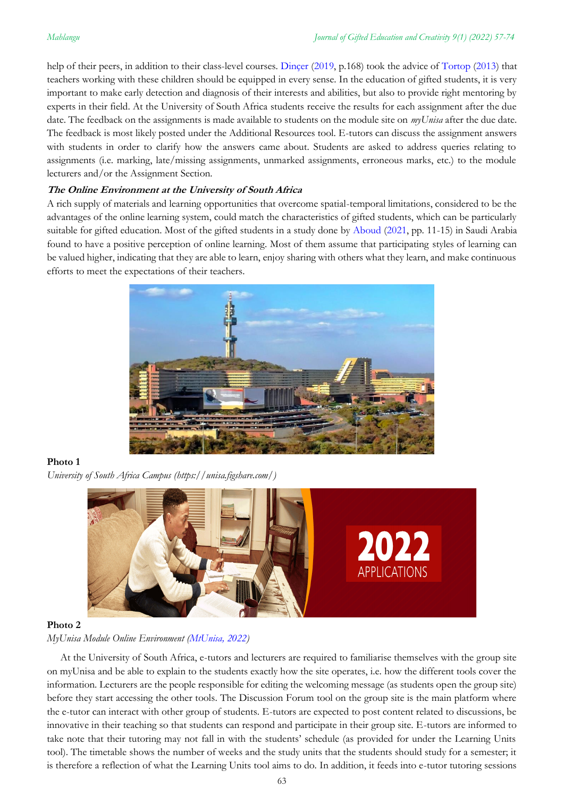help of their peers, in addition to their class-level courses. [Dinçer](#page-15-0) [\(2019,](#page-15-0) p.168) took the advice of [Tortop](#page-15-0) [\(2013\)](#page-15-0) that teachers working with these children should be equipped in every sense. In the education of gifted students, it is very important to make early detection and diagnosis of their interests and abilities, but also to provide right mentoring by experts in their field. At the University of South Africa students receive the results for each assignment after the due date. The feedback on the assignments is made available to students on the module site on *myUnisa* after the due date. The feedback is most likely posted under the Additional Resources tool. E-tutors can discuss the assignment answers with students in order to clarify how the answers came about. Students are asked to address queries relating to assignments (i.e. marking, late/missing assignments, unmarked assignments, erroneous marks, etc.) to the module lecturers and/or the Assignment Section.

## **The Online Environment at the University of South Africa**

A rich supply of materials and learning opportunities that overcome spatial-temporal limitations, considered to be the advantages of the online learning system, could match the characteristics of gifted students, which can be particularly suitable for gifted education. Most of the gifted students in a study done by [Aboud](#page-15-0) [\(2021,](#page-15-0) pp. 11-15) in Saudi Arabia found to have a positive perception of online learning. Most of them assume that participating styles of learning can be valued higher, indicating that they are able to learn, enjoy sharing with others what they learn, and make continuous efforts to meet the expectations of their teachers.



### **Photo 1**

*University of South Africa Campus (https://unisa.figshare.com/)*



### **Photo 2**

## *MyUnisa Module Online Environment [\(MtUnisa, 2022\)](After%20the%20pandemic,%20giftedness,%20talent%20training%20and%20creativity%20have%20become%20the%20priority%20of%20educational%20institutions.)*

At the University of South Africa, e-tutors and lecturers are required to familiarise themselves with the group site on myUnisa and be able to explain to the students exactly how the site operates, i.e. how the different tools cover the information. Lecturers are the people responsible for editing the welcoming message (as students open the group site) before they start accessing the other tools. The Discussion Forum tool on the group site is the main platform where the e-tutor can interact with other group of students. E-tutors are expected to post content related to discussions, be innovative in their teaching so that students can respond and participate in their group site. E-tutors are informed to take note that their tutoring may not fall in with the students' schedule (as provided for under the Learning Units tool). The timetable shows the number of weeks and the study units that the students should study for a semester; it is therefore a reflection of what the Learning Units tool aims to do. In addition, it feeds into e-tutor tutoring sessions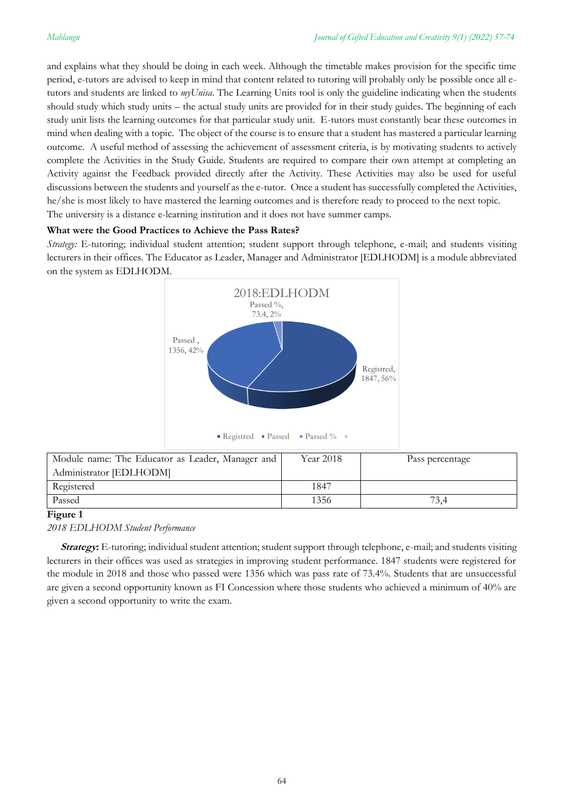and explains what they should be doing in each week. Although the timetable makes provision for the specific time period, e-tutors are advised to keep in mind that content related to tutoring will probably only be possible once all etutors and students are linked to *myUnisa*. The Learning Units tool is only the guideline indicating when the students should study which study units – the actual study units are provided for in their study guides. The beginning of each study unit lists the learning outcomes for that particular study unit. E-tutors must constantly bear these outcomes in mind when dealing with a topic. The object of the course is to ensure that a student has mastered a particular learning outcome. A useful method of assessing the achievement of assessment criteria, is by motivating students to actively complete the Activities in the Study Guide. Students are required to compare their own attempt at completing an Activity against the Feedback provided directly after the Activity. These Activities may also be used for useful discussions between the students and yourself as the e-tutor. Once a student has successfully completed the Activities, he/she is most likely to have mastered the learning outcomes and is therefore ready to proceed to the next topic. The university is a distance e-learning institution and it does not have summer camps.

## **What were the Good Practices to Achieve the Pass Rates?**

*Strategy:* E-tutoring; individual student attention; student support through telephone, e-mail; and students visiting lecturers in their offices. The Educator as Leader, Manager and Administrator [EDLHODM] is a module abbreviated on the system as EDLHODM.



| Module name: The Educator as Leader, Manager and | Year 2018 | Pass percentage |
|--------------------------------------------------|-----------|-----------------|
| Administrator [EDLHODM]                          |           |                 |
| Registered                                       | 1847      |                 |
| Passed                                           | 1356      | 73.4            |

## **Figure 1**

*2018 EDLHODM Student Performance*

**Strategy:** E-tutoring; individual student attention; student support through telephone, e-mail; and students visiting lecturers in their offices was used as strategies in improving student performance. 1847 students were registered for the module in 2018 and those who passed were 1356 which was pass rate of 73.4%. Students that are unsuccessful are given a second opportunity known as FI Concession where those students who achieved a minimum of 40% are given a second opportunity to write the exam.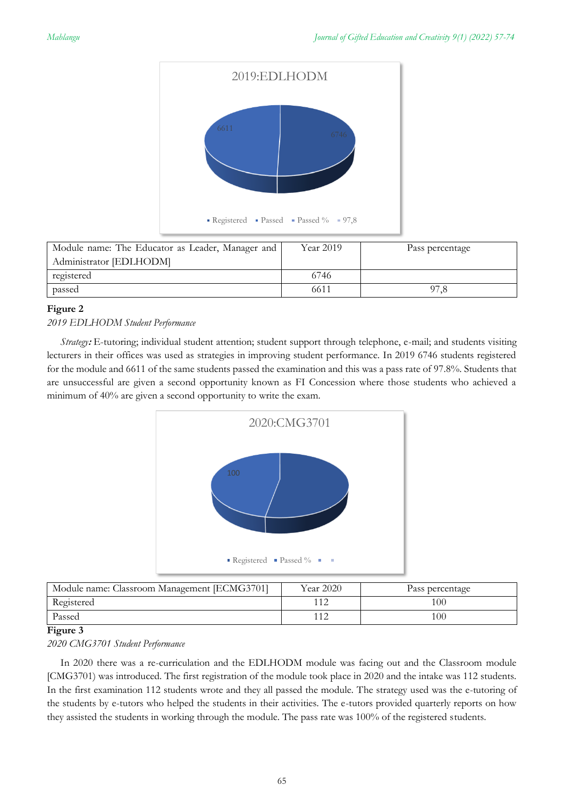

| Module name: The Educator as Leader, Manager and | Year 2019 | Pass percentage |
|--------------------------------------------------|-----------|-----------------|
| Administrator [EDLHODM]                          |           |                 |
| registered                                       | 6746      |                 |
| passed                                           | 6611      |                 |

## **Figure 2**

## *2019 EDLHODM Student Performance*

*Strategy***:** E-tutoring; individual student attention; student support through telephone, e-mail; and students visiting lecturers in their offices was used as strategies in improving student performance. In 2019 6746 students registered for the module and 6611 of the same students passed the examination and this was a pass rate of 97.8%. Students that are unsuccessful are given a second opportunity known as FI Concession where those students who achieved a minimum of 40% are given a second opportunity to write the exam.



| Module name: Classroom Management [ECMG3701] | Year 2020 | Pass percentage |
|----------------------------------------------|-----------|-----------------|
| Registered                                   |           | 100             |
| Passed                                       |           | 100             |

## **Figure 3**

## *2020 CMG3701 Student Performance*

In 2020 there was a re-curriculation and the EDLHODM module was facing out and the Classroom module [CMG3701) was introduced. The first registration of the module took place in 2020 and the intake was 112 students. In the first examination 112 students wrote and they all passed the module. The strategy used was the e-tutoring of the students by e-tutors who helped the students in their activities. The e-tutors provided quarterly reports on how they assisted the students in working through the module. The pass rate was 100% of the registered students.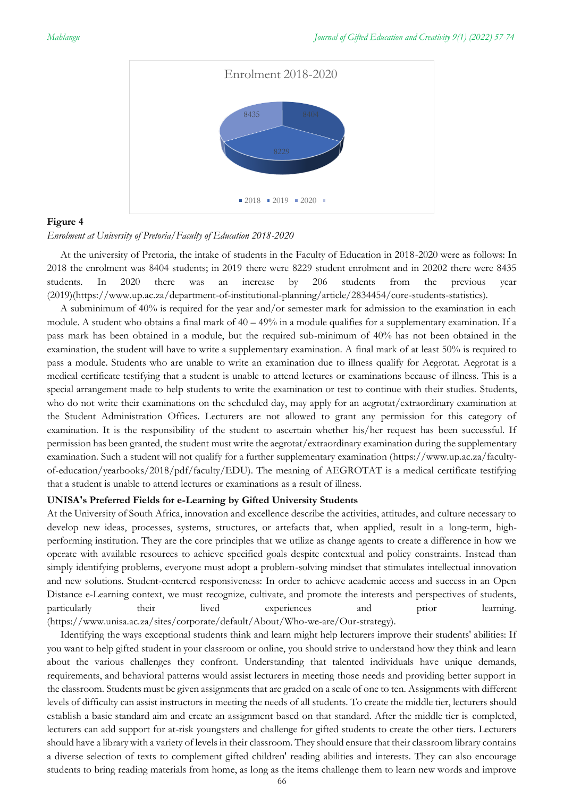

## **Figure 4**

#### *Enrolment at University of Pretoria/Faculty of Education 2018-2020*

At the university of Pretoria, the intake of students in the Faculty of Education in 2018-2020 were as follows: In 2018 the enrolment was 8404 students; in 2019 there were 8229 student enrolment and in 20202 there were 8435 students. In 2020 there was an increase by 206 students from the previous year (2019)[\(https://www.up.ac.za/department-of-institutional-planning/article/2834454/core-students-statistics\)](https://www.up.ac.za/department-of-institutional-planning/article/2834454/core-students-statistics).

A subminimum of 40% is required for the year and/or semester mark for admission to the examination in each module. A student who obtains a final mark of  $40 - 49\%$  in a module qualifies for a supplementary examination. If a pass mark has been obtained in a module, but the required sub-minimum of 40% has not been obtained in the examination, the student will have to write a supplementary examination. A final mark of at least 50% is required to pass a module. Students who are unable to write an examination due to illness qualify for Aegrotat. Aegrotat is a medical certificate testifying that a student is unable to attend lectures or examinations because of illness. This is a special arrangement made to help students to write the examination or test to continue with their studies. Students, who do not write their examinations on the scheduled day, may apply for an aegrotat/extraordinary examination at the Student Administration Offices. Lecturers are not allowed to grant any permission for this category of examination. It is the responsibility of the student to ascertain whether his/her request has been successful. If permission has been granted, the student must write the aegrotat/extraordinary examination during the supplementary examination. Such a student will not qualify for a further supplementary examination [\(https://www.up.ac.za/faculty](https://www.up.ac.za/faculty-of-education/yearbooks/2018/pdf/faculty/EDU)[of-education/yearbooks/2018/pdf/faculty/EDU\)](https://www.up.ac.za/faculty-of-education/yearbooks/2018/pdf/faculty/EDU). The meaning of AEGROTAT is a medical certificate testifying that a student is unable to attend lectures or examinations as a result of illness.

#### **UNISA's Preferred Fields for e-Learning by Gifted University Students**

At the University of South Africa, innovation and excellence describe the activities, attitudes, and culture necessary to develop new ideas, processes, systems, structures, or artefacts that, when applied, result in a long-term, highperforming institution. They are the core principles that we utilize as change agents to create a difference in how we operate with available resources to achieve specified goals despite contextual and policy constraints. Instead than simply identifying problems, everyone must adopt a problem-solving mindset that stimulates intellectual innovation and new solutions. Student-centered responsiveness: In order to achieve academic access and success in an Open Distance e-Learning context, we must recognize, cultivate, and promote the interests and perspectives of students, particularly their lived experiences and prior learning. (https://www.unisa.ac.za/sites/corporate/default/About/Who-we-are/Our-strategy).

Identifying the ways exceptional students think and learn might help lecturers improve their students' abilities: If you want to help gifted student in your classroom or online, you should strive to understand how they think and learn about the various challenges they confront. Understanding that talented individuals have unique demands, requirements, and behavioral patterns would assist lecturers in meeting those needs and providing better support in the classroom. Students must be given assignments that are graded on a scale of one to ten. Assignments with different levels of difficulty can assist instructors in meeting the needs of all students. To create the middle tier, lecturers should establish a basic standard aim and create an assignment based on that standard. After the middle tier is completed, lecturers can add support for at-risk youngsters and challenge for gifted students to create the other tiers. Lecturers should have a library with a variety of levels in their classroom. They should ensure that their classroom library contains a diverse selection of texts to complement gifted children' reading abilities and interests. They can also encourage students to bring reading materials from home, as long as the items challenge them to learn new words and improve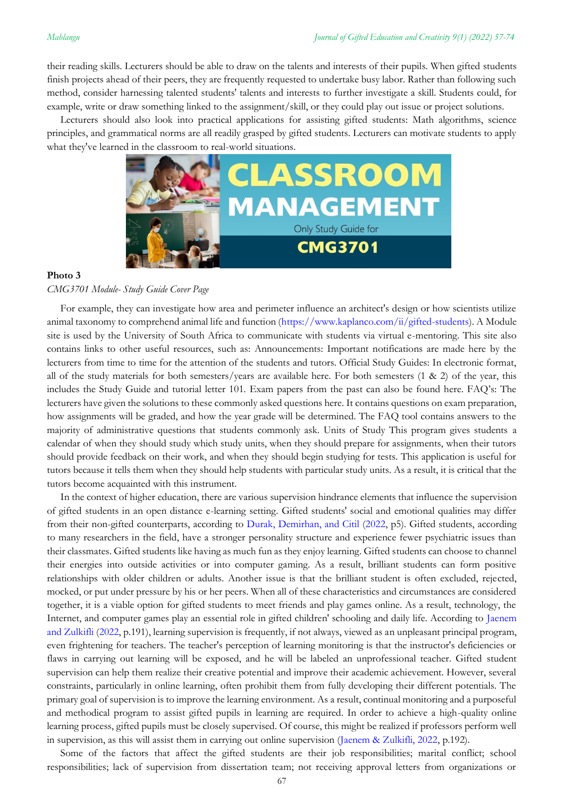their reading skills. Lecturers should be able to draw on the talents and interests of their pupils. When gifted students finish projects ahead of their peers, they are frequently requested to undertake busy labor. Rather than following such method, consider harnessing talented students' talents and interests to further investigate a skill. Students could, for example, write or draw something linked to the assignment/skill, or they could play out issue or project solutions.

Lecturers should also look into practical applications for assisting gifted students: Math algorithms, science principles, and grammatical norms are all readily grasped by gifted students. Lecturers can motivate students to apply what they've learned in the classroom to real-world situations.



#### **Photo 3**

*CMG3701 Module- Study Guide Cover Page* 

For example, they can investigate how area and perimeter influence an architect's design or how scientists utilize animal taxonomy to comprehend animal life and function [\(https://www.kaplanco.com/ii/gifted-students\)](https://www.kaplanco.com/ii/gifted-students). A Module site is used by the University of South Africa to communicate with students via virtual e-mentoring. This site also contains links to other useful resources, such as: Announcements: Important notifications are made here by the lecturers from time to time for the attention of the students and tutors. Official Study Guides: In electronic format, all of the study materials for both semesters/years are available here. For both semesters  $(1 \& 2)$  of the year, this includes the Study Guide and tutorial letter 101. Exam papers from the past can also be found here. FAQ's: The lecturers have given the solutions to these commonly asked questions here. It contains questions on exam preparation, how assignments will be graded, and how the year grade will be determined. The FAQ tool contains answers to the majority of administrative questions that students commonly ask. Units of Study This program gives students a calendar of when they should study which study units, when they should prepare for assignments, when their tutors should provide feedback on their work, and when they should begin studying for tests. This application is useful for tutors because it tells them when they should help students with particular study units. As a result, it is critical that the tutors become acquainted with this instrument.

In the context of higher education, there are various supervision hindrance elements that influence the supervision of gifted students in an open distance e-learning setting. Gifted students' social and emotional qualities may differ from their non-gifted counterparts, according to [Durak, Demirhan, and Citil](#page-15-0) [\(2022,](#page-15-0) p5). Gifted students, according to many researchers in the field, have a stronger personality structure and experience fewer psychiatric issues than their classmates. Gifted students like having as much fun as they enjoy learning. Gifted students can choose to channel their energies into outside activities or into computer gaming. As a result, brilliant students can form positive relationships with older children or adults. Another issue is that the brilliant student is often excluded, rejected, mocked, or put under pressure by his or her peers. When all of these characteristics and circumstances are considered together, it is a viable option for gifted students to meet friends and play games online. As a result, technology, the Internet, and computer games play an essential role in gifted children' schooling and daily life. According to [Jaenem](#page-15-0)  [and Zulkifli](#page-15-0) [\(2022,](#page-15-0) p.191), learning supervision is frequently, if not always, viewed as an unpleasant principal program, even frightening for teachers. The teacher's perception of learning monitoring is that the instructor's deficiencies or flaws in carrying out learning will be exposed, and he will be labeled an unprofessional teacher. Gifted student supervision can help them realize their creative potential and improve their academic achievement. However, several constraints, particularly in online learning, often prohibit them from fully developing their different potentials. The primary goal of supervision is to improve the learning environment. As a result, continual monitoring and a purposeful and methodical program to assist gifted pupils in learning are required. In order to achieve a high-quality online learning process, gifted pupils must be closely supervised. Of course, this might be realized if professors perform well in supervision, as this will assist them in carrying out online supervision [\(Jaenem & Zulkifli, 2022,](#page-15-0) p.192).

Some of the factors that affect the gifted students are their job responsibilities; marital conflict; school responsibilities; lack of supervision from dissertation team; not receiving approval letters from organizations or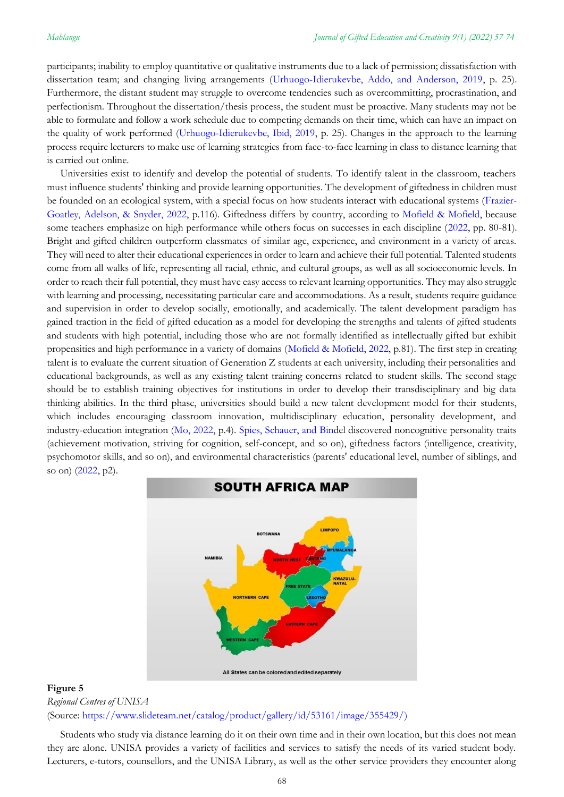participants; inability to employ quantitative or qualitative instruments due to a lack of permission; dissatisfaction with dissertation team; and changing living arrangements [\(Urhuogo-Idierukevbe, Addo, and Anderson, 2019,](#page-15-0) p. 25). Furthermore, the distant student may struggle to overcome tendencies such as overcommitting, procrastination, and perfectionism. Throughout the dissertation/thesis process, the student must be proactive. Many students may not be able to formulate and follow a work schedule due to competing demands on their time, which can have an impact on the quality of work performed [\(Urhuogo-Idierukevbe, Ibid, 2019,](#page-15-0) p. 25). Changes in the approach to the learning process require lecturers to make use of learning strategies from face-to-face learning in class to distance learning that is carried out online.

Universities exist to identify and develop the potential of students. To identify talent in the classroom, teachers must influence students' thinking and provide learning opportunities. The development of giftedness in children must be founded on an ecological system, with a special focus on how students interact with educational systems [\(Frazier-](#page-15-0)[Goatley, Adelson, & Snyder, 2022,](#page-15-0) p.116). Giftedness differs by country, according to [Mofield & Mofield,](#page-15-0) because some teachers emphasize on high performance while others focus on successes in each discipline [\(2022,](#page-15-0) pp. 80-81). Bright and gifted children outperform classmates of similar age, experience, and environment in a variety of areas. They will need to alter their educational experiences in order to learn and achieve their full potential. Talented students come from all walks of life, representing all racial, ethnic, and cultural groups, as well as all socioeconomic levels. In order to reach their full potential, they must have easy access to relevant learning opportunities. They may also struggle with learning and processing, necessitating particular care and accommodations. As a result, students require guidance and supervision in order to develop socially, emotionally, and academically. The talent development paradigm has gained traction in the field of gifted education as a model for developing the strengths and talents of gifted students and students with high potential, including those who are not formally identified as intellectually gifted but exhibit propensities and high performance in a variety of domains [\(Mofield & Mofield, 2022,](#page-15-0) p.81). The first step in creating talent is to evaluate the current situation of Generation Z students at each university, including their personalities and educational backgrounds, as well as any existing talent training concerns related to student skills. The second stage should be to establish training objectives for institutions in order to develop their transdisciplinary and big data thinking abilities. In the third phase, universities should build a new talent development model for their students, which includes encouraging classroom innovation, multidisciplinary education, personality development, and industry-education integration [\(Mo, 2022,](#page-15-0) p.4). [Spies, Schauer, and Bind](#page-15-0)el discovered noncognitive personality traits (achievement motivation, striving for cognition, self-concept, and so on), giftedness factors (intelligence, creativity, psychomotor skills, and so on), and environmental characteristics (parents' educational level, number of siblings, and so on) [\(2022,](#page-15-0) p2).



## **Figure 5** *Regional Centres of UNISA* (Source: [https://www.slideteam.net/catalog/product/gallery/id/53161/image/355429/\)](https://www.slideteam.net/catalog/product/gallery/id/53161/image/355429/))

Students who study via distance learning do it on their own time and in their own location, but this does not mean they are alone. UNISA provides a variety of facilities and services to satisfy the needs of its varied student body. Lecturers, e-tutors, counsellors, and the UNISA Library, as well as the other service providers they encounter along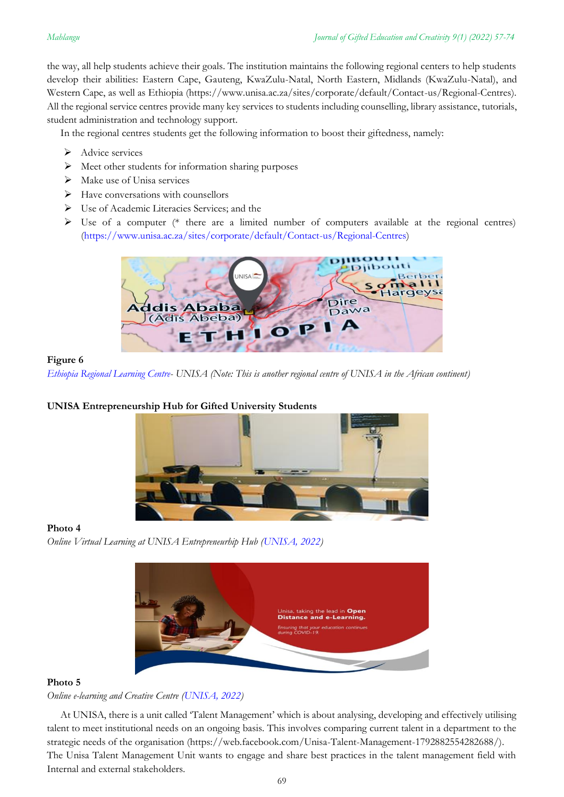the way, all help students achieve their goals. The institution maintains the following regional centers to help students develop their abilities: Eastern Cape, Gauteng, KwaZulu-Natal, North Eastern, Midlands (KwaZulu-Natal), and Western Cape, as well as Ethiopia (https://www.unisa.ac.za/sites/corporate/default/Contact-us/Regional-Centres). All the regional service centres provide many key services to students including counselling, library assistance, tutorials, student administration and technology support.

In the regional centres students get the following information to boost their giftedness, namely:

- ➢ Advice services
- ➢ Meet other students for information sharing purposes
- ➢ Make use of Unisa services
- ➢ Have conversations with counsellors
- ➢ Use of Academic Literacies Services; and the
- $\triangleright$  Use of a computer (\* there are a limited number of computers available at the regional centres) [\(https://www.unisa.ac.za/sites/corporate/default/Contact-us/Regional-Centres\)](https://www.unisa.ac.za/sites/corporate/default/Contact-us/Regional-Centres)



### **Figure 6**

*[Ethiopia Regional Learning Centre-](https://www.unisa.ac.za/sites/corporate/default/Colleges/College-of-Graduate-Studies/About/Ethiopia-Centre-for-Graduate-Studies) UNISA (Note: This is another regional centre of UNISA in the African continent)*

## **UNISA Entrepreneurship Hub for Gifted University Students**



### **Photo 4**

*Online Virtual Learning at UNISA Entrepreneurhip Hub [\(UNISA, 2022\)](https://www.unisa.ac.za/sites/corporate/default/Colleges/Education/Schools,-departments,-centres-&-instututes/School-of-Educational-Studies/Department-of-Adult-Basic-Education)*



### **Photo 5**

*Online e-learning and Creative Centre [\(UNISA, 2022\)](https://www.linkedin.com/school/unisa/)*

At UNISA, there is a unit called 'Talent Management' which is about analysing, developing and effectively utilising talent to meet institutional needs on an ongoing basis. This involves comparing current talent in a department to the strategic needs of the organisation (https://web.facebook.com/Unisa-Talent-Management-1792882554282688/). The Unisa Talent Management Unit wants to engage and share best practices in the talent management field with Internal and external stakeholders.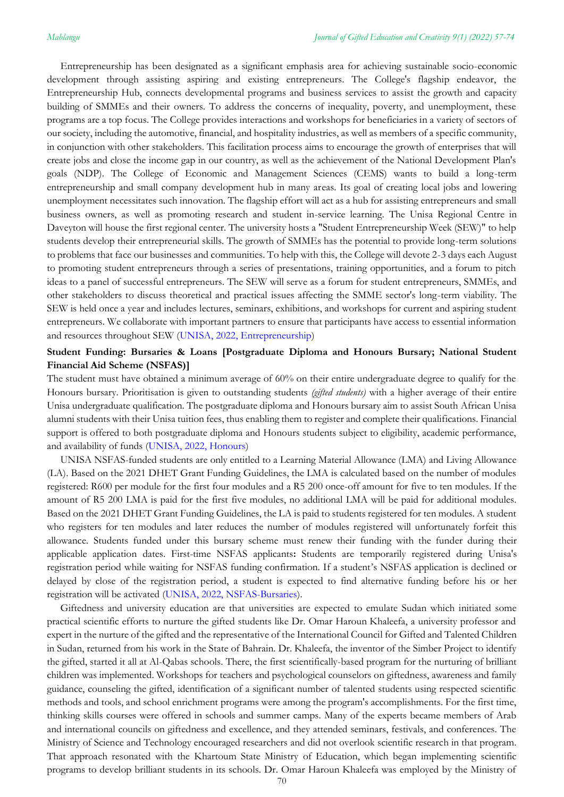Entrepreneurship has been designated as a significant emphasis area for achieving sustainable socio-economic development through assisting aspiring and existing entrepreneurs. The College's flagship endeavor, the Entrepreneurship Hub, connects developmental programs and business services to assist the growth and capacity building of SMMEs and their owners. To address the concerns of inequality, poverty, and unemployment, these programs are a top focus. The College provides interactions and workshops for beneficiaries in a variety of sectors of our society, including the automotive, financial, and hospitality industries, as well as members of a specific community, in conjunction with other stakeholders. This facilitation process aims to encourage the growth of enterprises that will create jobs and close the income gap in our country, as well as the achievement of the National Development Plan's goals (NDP). The College of Economic and Management Sciences (CEMS) wants to build a long-term entrepreneurship and small company development hub in many areas. Its goal of creating local jobs and lowering unemployment necessitates such innovation. The flagship effort will act as a hub for assisting entrepreneurs and small business owners, as well as promoting research and student in-service learning. The Unisa Regional Centre in Daveyton will house the first regional center. The university hosts a "Student Entrepreneurship Week (SEW)" to help students develop their entrepreneurial skills. The growth of SMMEs has the potential to provide long-term solutions to problems that face our businesses and communities. To help with this, the College will devote 2-3 days each August to promoting student entrepreneurs through a series of presentations, training opportunities, and a forum to pitch ideas to a panel of successful entrepreneurs. The SEW will serve as a forum for student entrepreneurs, SMMEs, and other stakeholders to discuss theoretical and practical issues affecting the SMME sector's long-term viability. The SEW is held once a year and includes lectures, seminars, exhibitions, and workshops for current and aspiring student entrepreneurs. We collaborate with important partners to ensure that participants have access to essential information and resources throughout SEW [\(UNISA, 2022, Entrepreneurship\)](https://www.unisa.ac.za/sites/corporate/default/Colleges/Economic-and-Management-Sciences/Community-engagement/Entrepreneurship)

## **Student Funding: Bursaries & Loans [Postgraduate Diploma and Honours Bursary; National Student Financial Aid Scheme (NSFAS)]**

The student must have obtained a minimum average of 60% on their entire undergraduate degree to qualify for the Honours bursary. Prioritisation is given to outstanding students *(gifted students)* with a higher average of their entire Unisa undergraduate qualification. The postgraduate diploma and Honours bursary aim to assist South African Unisa alumni students with their Unisa tuition fees, thus enabling them to register and complete their qualifications. Financial support is offered to both postgraduate diploma and Honours students subject to eligibility, academic performance, and availability of funds [\(UNISA, 2022, Honours\)](https://www.unisa.ac.za/sites/corporate/default/Colleges/College-of-Graduate-Studies/Bursaries/Postgraduate-diploma-and-honours-bursary)

UNISA NSFAS-funded students are only entitled to a Learning Material Allowance (LMA) and Living Allowance (LA). Based on the 2021 DHET Grant Funding Guidelines, the LMA is calculated based on the number of modules registered: R600 per module for the first four modules and a R5 200 once-off amount for five to ten modules. If the amount of R5 200 LMA is paid for the first five modules, no additional LMA will be paid for additional modules. Based on the 2021 DHET Grant Funding Guidelines, the LA is paid to students registered for ten modules. A student who registers for ten modules and later reduces the number of modules registered will unfortunately forfeit this allowance. Students funded under this bursary scheme must renew their funding with the funder during their applicable application dates. First-time NSFAS applicants**:** Students are temporarily registered during Unisa's registration period while waiting for NSFAS funding confirmation. If a student's NSFAS application is declined or delayed by close of the registration period, a student is expected to find alternative funding before his or her registration will be activated [\(UNISA, 2022, NSFAS-Bursaries\)](https://www.unisa.ac.za/sites/myunisa/default/Student-Affairs-&-SRC/Student-funding:-bursaries-&-loans/NSFAS-loans-and-bursaries).

Giftedness and university education are that universities are expected to emulate Sudan which initiated some practical scientific efforts to nurture the gifted students like Dr. Omar Haroun Khaleefa, a university professor and expert in the nurture of the gifted and the representative of the International Council for Gifted and Talented Children in Sudan, returned from his work in the State of Bahrain. Dr. Khaleefa, the inventor of the Simber Project to identify the gifted, started it all at Al-Qabas schools. There, the first scientifically-based program for the nurturing of brilliant children was implemented. Workshops for teachers and psychological counselors on giftedness, awareness and family guidance, counseling the gifted, identification of a significant number of talented students using respected scientific methods and tools, and school enrichment programs were among the program's accomplishments. For the first time, thinking skills courses were offered in schools and summer camps. Many of the experts became members of Arab and international councils on giftedness and excellence, and they attended seminars, festivals, and conferences. The Ministry of Science and Technology encouraged researchers and did not overlook scientific research in that program. That approach resonated with the Khartoum State Ministry of Education, which began implementing scientific programs to develop brilliant students in its schools. Dr. Omar Haroun Khaleefa was employed by the Ministry of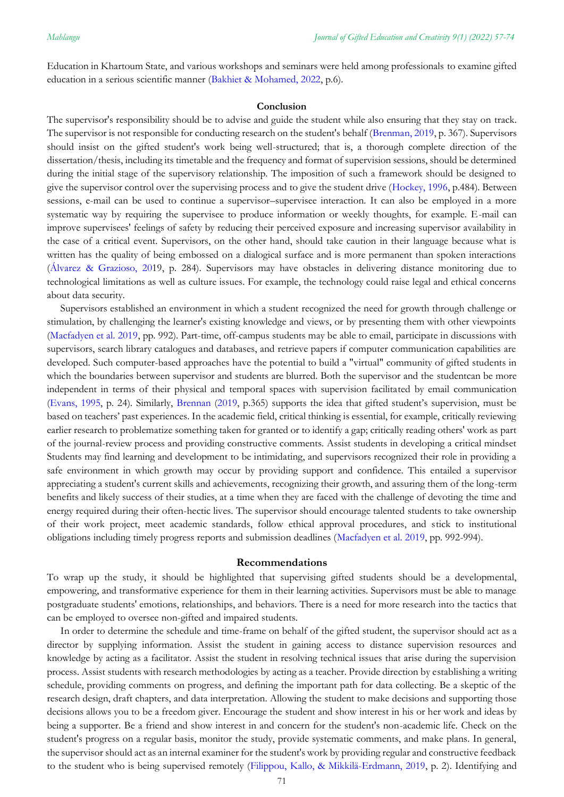Education in Khartoum State, and various workshops and seminars were held among professionals to examine gifted education in a serious scientific manner (Bakhiet & [Mohamed, 2022,](#page-15-0) p.6).

#### **Conclusion**

The supervisor's responsibility should be to advise and guide the student while also ensuring that they stay on track. The supervisor is not responsible for conducting research on the student's behalf [\(Brenman, 2019,](#page-15-0) p. 367). Supervisors should insist on the gifted student's work being well-structured; that is, a thorough complete direction of the dissertation/thesis, including its timetable and the frequency and format of supervision sessions, should be determined during the initial stage of the supervisory relationship. The imposition of such a framework should be designed to give the supervisor control over the supervising process and to give the student drive [\(Hockey, 1996,](#page-15-0) p.484). Between sessions, e-mail can be used to continue a supervisor–supervisee interaction. It can also be employed in a more systematic way by requiring the supervisee to produce information or weekly thoughts, for example. E-mail can improve supervisees' feelings of safety by reducing their perceived exposure and increasing supervisor availability in the case of a critical event. Supervisors, on the other hand, should take caution in their language because what is written has the quality of being embossed on a dialogical surface and is more permanent than spoken interactions [\(Álvarez & Grazioso, 201](#page-15-0)9, p. 284). Supervisors may have obstacles in delivering distance monitoring due to technological limitations as well as culture issues. For example, the technology could raise legal and ethical concerns about data security.

Supervisors established an environment in which a student recognized the need for growth through challenge or stimulation, by challenging the learner's existing knowledge and views, or by presenting them with other viewpoints [\(Macfadyen et al. 2019,](#page-15-0) pp. 992). Part-time, off-campus students may be able to email, participate in discussions with supervisors, search library catalogues and databases, and retrieve papers if computer communication capabilities are developed. Such computer-based approaches have the potential to build a "virtual" community of gifted students in which the boundaries between supervisor and students are blurred. Both the supervisor and the studentcan be more independent in terms of their physical and temporal spaces with supervision facilitated by email communication [\(Evans, 1995,](#page-15-0) p. 24). Similarly, [Brennan](#page-15-0) [\(2019](#page-15-0), p.365) supports the idea that gifted student's supervision, must be based on teachers' past experiences. In the academic field, critical thinking is essential, for example, critically reviewing earlier research to problematize something taken for granted or to identify a gap; critically reading others' work as part of the journal-review process and providing constructive comments. Assist students in developing a critical mindset Students may find learning and development to be intimidating, and supervisors recognized their role in providing a safe environment in which growth may occur by providing support and confidence. This entailed a supervisor appreciating a student's current skills and achievements, recognizing their growth, and assuring them of the long-term benefits and likely success of their studies, at a time when they are faced with the challenge of devoting the time and energy required during their often-hectic lives. The supervisor should encourage talented students to take ownership of their work project, meet academic standards, follow ethical approval procedures, and stick to institutional obligations including timely progress reports and submission deadlines [\(Macfadyen et al. 2019,](#page-15-0) pp. 992-994).

#### **Recommendations**

To wrap up the study, it should be highlighted that supervising gifted students should be a developmental, empowering, and transformative experience for them in their learning activities. Supervisors must be able to manage postgraduate students' emotions, relationships, and behaviors. There is a need for more research into the tactics that can be employed to oversee non-gifted and impaired students.

In order to determine the schedule and time-frame on behalf of the gifted student, the supervisor should act as a director by supplying information. Assist the student in gaining access to distance supervision resources and knowledge by acting as a facilitator. Assist the student in resolving technical issues that arise during the supervision process. Assist students with research methodologies by acting as a teacher. Provide direction by establishing a writing schedule, providing comments on progress, and defining the important path for data collecting. Be a skeptic of the research design, draft chapters, and data interpretation. Allowing the student to make decisions and supporting those decisions allows you to be a freedom giver. Encourage the student and show interest in his or her work and ideas by being a supporter. Be a friend and show interest in and concern for the student's non-academic life. Check on the student's progress on a regular basis, monitor the study, provide systematic comments, and make plans. In general, the supervisor should act as an internal examiner for the student's work by providing regular and constructive feedback to the student who is being supervised remotely [\(Filippou, Kallo, & Mikkilä-Erdmann, 2019,](#page-15-0) p. 2). Identifying and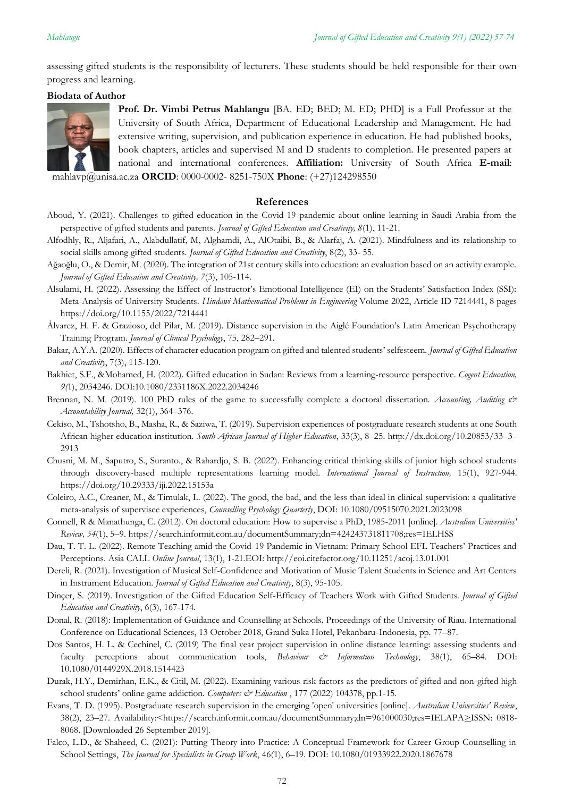assessing gifted students is the responsibility of lecturers. These students should be held responsible for their own progress and learning.

## **Biodata of Author**



**Prof. Dr. Vimbi Petrus Mahlangu** [BA. ED; BED; M. ED; PHD] is a Full Professor at the University of South Africa, Department of Educational Leadership and Management. He had extensive writing, supervision, and publication experience in education. He had published books, book chapters, articles and supervised M and D students to completion. He presented papers at national and international conferences. **Affiliation:** University of South Africa **E-mail**:

<span id="page-15-0"></span>mahlavp@unisa.ac.za **ORCID**: 0000-0002- 8251-750X **Phone**: (+27)124298550

## **References**

- Aboud, Y. (2021). Challenges to gifted education in the Covid-19 pandemic about online learning in Saudi Arabia from the perspective of gifted students and parents. *Journal of Gifted Education and Creativity, 8*(1), 11-21.
- Alfodhly, R., Aljafari, A., Alabdullatif, M, Alghamdi, A., AlOtaibi, B., & Alarfaj, A. (2021). Mindfulness and its relationship to social skills among gifted students. *Journal of Gifted Education and Creativity*, 8(2), 33- 55.
- Ağaoğlu, O., & Demir, M. (2020). The integration of 21st century skills into education: an evaluation based on an activity example. *Journal of Gifted Education and Creativity, 7*(3), 105-114.
- Alsulami, H. (2022). Assessing the Effect of Instructor's Emotional Intelligence (EI) on the Students' Satisfaction Index (SSI): Meta-Analysis of University Students. *Hindawi Mathematical Problems in Engineering* Volume 2022, Article ID 7214441, 8 pages https://doi.org/10.1155/2022/7214441
- Álvarez, H. F. & Grazioso, del Pilar, M. (2019). Distance supervision in the Aiglé Foundation's Latin American Psychotherapy Training Program. *Journal of Clinical Psychology*, 75, 282–291.
- Bakar, A.Y.A. (2020). Effects of character education program on gifted and talented students' selfesteem. *Journal of Gifted Education and Creativity*, 7(3), 115-120.
- Bakhiet, S.F., &Mohamed, H. (2022). Gifted education in Sudan: Reviews from a learning-resource perspective. *Cogent Education, 9(*1), 2034246. DOI:10.1080/2331186X.2022.2034246
- Brennan, N. M. (2019). 100 PhD rules of the game to successfully complete a doctoral dissertation. *Accounting, Auditing & Accountability Journal,* 32(1), 364–376.
- Cekiso, M., Tshotsho, B., Masha, R., & Saziwa, T. (2019). Supervision experiences of postgraduate research students at one South African higher education institution. *South African Journal of Higher Education*, 33(3), 8–25. http://dx.doi.org/10.20853/33–3– 2913
- Chusni, M. M., Saputro, S., Suranto., & Rahardjo, S. B. (2022). Enhancing critical thinking skills of junior high school students through discovery-based multiple representations learning model. *International Journal of Instruction,* 15(1), 927-944. https://doi.org/10.29333/iji.2022.15153a
- Coleiro, A.C., Creaner, M., & Timulak, L. (2022). The good, the bad, and the less than ideal in clinical supervision: a qualitative meta-analysis of supervisee experiences, *Counselling Psychology Quarterly*, DOI: 10.1080/09515070.2021.2023098
- Connell, R & Manathunga, C. (2012). On doctoral education: How to supervise a PhD, 1985-2011 [online]. *Australian Universities' Review, 54*(1), 5–9. https://search.informit.com.au/documentSummary;dn=424243731811708;res=IELHSS
- Dau, T. T. L. (2022). Remote Teaching amid the Covid-19 Pandemic in Vietnam: Primary School EFL Teachers' Practices and Perceptions. Asia CALL *Online Journal*, 13(1), 1-21.EOI[: http://eoi.citefactor.org/10.11251/acoj.13.01.001](http://eoi.citefactor.org/10.11251/acoj.13.01.001)
- Dereli, R. (2021). Investigation of Musical Self-Confidence and Motivation of Music Talent Students in Science and Art Centers in Instrument Education. *Journal of Gifted Education and Creativity*, 8(3), 95-105.
- Dinçer, S. (2019). Investigation of the Gifted Education Self-Efficacy of Teachers Work with Gifted Students. *Journal of Gifted Education and Creativity*, 6(3), 167-174.
- Donal, R. (2018): Implementation of Guidance and Counselling at Schools. Proceedings of the University of Riau. International Conference on Educational Sciences, 13 October 2018, Grand Suka Hotel, Pekanbaru-Indonesia, pp. 77–87.
- Dos Santos, H. L. & Cechinel, C. (2019) The final year project supervision in online distance learning: assessing students and faculty perceptions about communication tools, *Behaviour & Information Technology*, 38(1), 65–84. DOI: 10.1080/0144929X.2018.1514423
- Durak, H.Y., Demirhan, E.K., & Citil, M. (2022). Examining various risk factors as the predictors of gifted and non-gifted high school students' online game addiction. *Computers & Education*, 177 (2022) 104378, pp.1-15.
- Evans, T. D. (1995). Postgraduate research supervision in the emerging 'open' universities [online]. *Australian Universities' Review*, 38(2), 23–27. Availability:<https://search.informit.com.au/documentSummary;dn=961000030;res=IELAPA>ISSN: 0818- 8068. [Downloaded 26 September 2019].
- Falco, L.D., & Shaheed, C. (2021): Putting Theory into Practice: A Conceptual Framework for Career Group Counselling in School Settings, *The Journal for Specialists in Group Work*, 46(1), 6–19. DOI: 10.1080/01933922.2020.1867678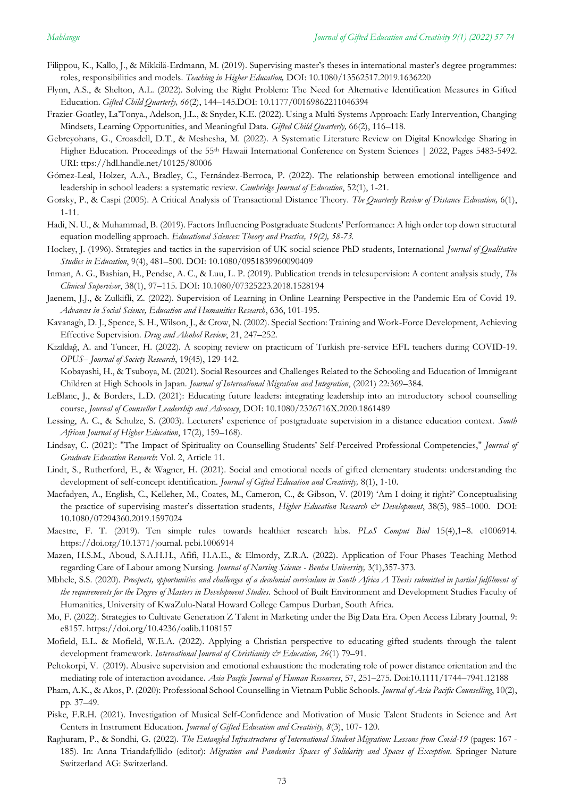- Filippou, K., Kallo, J., & Mikkilä-Erdmann, M. (2019). Supervising master's theses in international master's degree programmes: roles, responsibilities and models. *Teaching in Higher Education,* DOI: 10.1080/13562517.2019.1636220
- Flynn, A.S., & Shelton, A.L. (2022). Solving the Right Problem: The Need for Alternative Identification Measures in Gifted Education. *Gifted Child Quarterly, 66*(2), 144–145.DOI: 10.1177/00169862211046394
- Frazier-Goatley, La'Tonya., Adelson, J.L., & Snyder, K.E. (2022). Using a Multi-Systems Approach: Early Intervention, Changing Mindsets, Learning Opportunities, and Meaningful Data. *Gifted Child Quarterly,* 66(2), 116–118.
- Gebreyohans, G., Croasdell, D.T., & Meshesha, M. (2022). A Systematic Literature Review on Digital Knowledge Sharing in Higher Education. Proceedings of the 55th Hawaii International Conference on System Sciences | 2022, Pages 5483-5492. URI: ttps://hdl.handle.net/10125/80006
- Gómez-Leal, Holzer, A.A., Bradley, C., Fernández-Berroca, P. (2022). The relationship between emotional intelligence and leadership in school leaders: a systematic review. *Cambridge Journal of Education*, 52(1), 1-21.
- Gorsky, P., & Caspi (2005). A Critical Analysis of Transactional Distance Theory. *The Quarterly Review of Distance Education,* 6(1), 1-11.
- Hadi, N. U., & Muhammad, B. (2019). Factors Influencing Postgraduate Students' Performance: A high order top down structural equation modelling approach. *Educational Sciences: Theory and Practice, 19(2), 58-73.*
- Hockey, J. (1996). Strategies and tactics in the supervision of UK social science PhD students, International *Journal of Qualitative Studies in Education*, 9(4), 481–500. DOI: 10.1080/0951839960090409
- Inman, A. G., Bashian, H., Pendse, A. C., & Luu, L. P. (2019). Publication trends in telesupervision: A content analysis study, *The Clinical Supervisor*, 38(1), 97–115. DOI: 10.1080/07325223.2018.1528194
- Jaenem, J.J., & Zulkifli, Z. (2022). Supervision of Learning in Online Learning Perspective in the Pandemic Era of Covid 19. *Advances in Social Science, Education and Humanities Research*, 636, 101-195.
- Kavanagh, D. J., Spence, S. H., Wilson, J., & Crow, N. (2002). Special Section: Training and Work-Force Development, Achieving Effective Supervision. *Drug and Alcohol Review*, 21, 247–252.
- Kızıldağ, A. and Tuncer, H. (2022). A scoping review on practicum of Turkish pre-service EFL teachers during COVID-19. *OPUS– Journal of Society Research*, 19(45), 129-142.

Kobayashi, H., & Tsuboya, M. (2021). Social Resources and Challenges Related to the Schooling and Education of Immigrant Children at High Schools in Japan. *Journal of International Migration and Integration*, (2021) 22:369–384.

- LeBlanc, J., & Borders, L.D. (2021): Educating future leaders: integrating leadership into an introductory school counselling course, *Journal of Counsellor Leadership and Advocacy*, DOI: 10.1080/2326716X.2020.1861489
- Lessing, A. C., & Schulze, S. (2003). Lecturers' experience of postgraduate supervision in a distance education context. *South African Journal of Higher Education*, 17(2), 159–168).
- Lindsay, C. (2021): "The Impact of Spirituality on Counselling Students' Self-Perceived Professional Competencies," *Journal of Graduate Education Research*: Vol. 2, Article 11.
- Lindt, S., Rutherford, E., & Wagner, H. (2021). Social and emotional needs of gifted elementary students: understanding the development of self-concept identification. *Journal of Gifted Education and Creativity,* 8(1), 1-10.
- Macfadyen, A., English, C., Kelleher, M., Coates, M., Cameron, C., & Gibson, V. (2019) 'Am I doing it right?' Conceptualising the practice of supervising master's dissertation students, *Higher Education Research & Development*, 38(5), 985–1000. DOI: 10.1080/07294360.2019.1597024
- Maestre, F. T. (2019). Ten simple rules towards healthier research labs. *PLoS Comput Biol* 15(4),1–8. e1006914. [https://doi.org/10.1371/journal. pcbi.1006914](https://doi.org/10.1371/journal.%20pcbi.1006914)
- Mazen, H.S.M., Aboud, S.A.H.H., Afifi, H.A.E., & Elmordy, Z.R.A. (2022). Application of Four Phases Teaching Method regarding Care of Labour among Nursing. *Journal of Nursing Science - Benha University,* 3(1),357-373.
- Mbhele, S.S. (2020). *Prospects, opportunities and challenges of a decolonial curriculum in South Africa A Thesis submitted in partial fulfilment of the requirements for the Degree of Masters in Development Studies.* School of Built Environment and Development Studies Faculty of Humanities, University of KwaZulu-Natal Howard College Campus Durban, South Africa.
- Mo, F. (2022). Strategies to Cultivate Generation Z Talent in Marketing under the Big Data Era. Open Access Library Journal, 9: e8157.<https://doi.org/10.4236/oalib.1108157>
- Mofield, E.L. & Mofield, W.E.A. (2022). Applying a Christian perspective to educating gifted students through the talent development framework. *International Journal of Christianity & Education, 26*(1) 79–91.
- Peltokorpi, V. (2019). Abusive supervision and emotional exhaustion: the moderating role of power distance orientation and the mediating role of interaction avoidance. *Asia Pacific Journal of Human Resources*, 57, 251–275. Doi:10.1111/1744–7941.12188
- Pham, A.K., & Akos, P. (2020): Professional School Counselling in Vietnam Public Schools. *Journal of Asia Pacific Counselling*, 10(2), pp. 37–49.
- Piske, F.R.H. (2021). Investigation of Musical Self-Confidence and Motivation of Music Talent Students in Science and Art Centers in Instrument Education. *Journal of Gifted Education and Creativity, 8*(3), 107- 120.
- Raghuram, P., & Sondhi, G. (2022). *The Entangled Infrastructures of International Student Migration: Lessons from Covid-19* (pages: 167 185). In: Anna Triandafyllido (editor): *Migration and Pandemics Spaces of Solidarity and Spaces of Exception*. Springer Nature Switzerland AG: Switzerland.